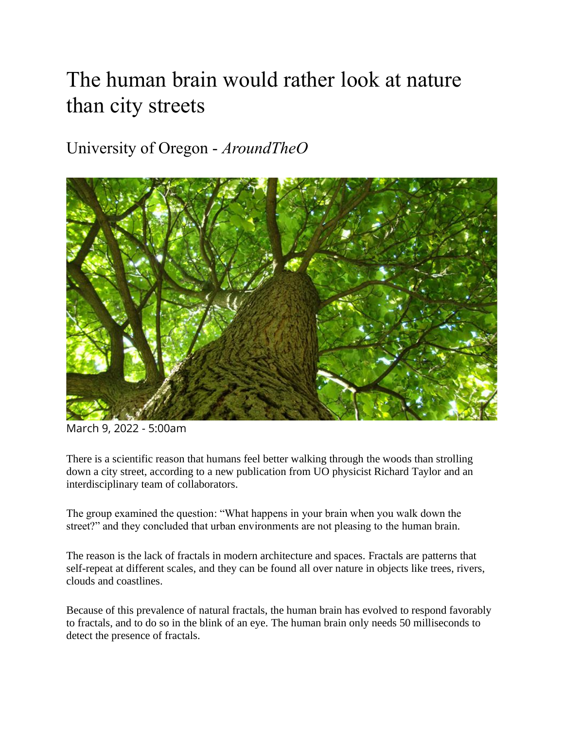## The human brain would rather look at nature than city streets

University of Oregon - *AroundTheO*



March 9, 2022 - 5:00am

There is a scientific reason that humans feel better walking through the woods than strolling down a city street, according to a new publication from UO physicist Richard Taylor and an interdisciplinary team of collaborators.

The group examined the question: "What happens in your brain when you walk down the street?" and they concluded that urban environments are not pleasing to the human brain.

The reason is the lack of fractals in modern architecture and spaces. Fractals are patterns that self-repeat at different scales, and they can be found all over nature in objects like trees, rivers, clouds and coastlines.

Because of this prevalence of natural fractals, the human brain has evolved to respond favorably to fractals, and to do so in the blink of an eye. The human brain only needs 50 milliseconds to detect the presence of fractals.